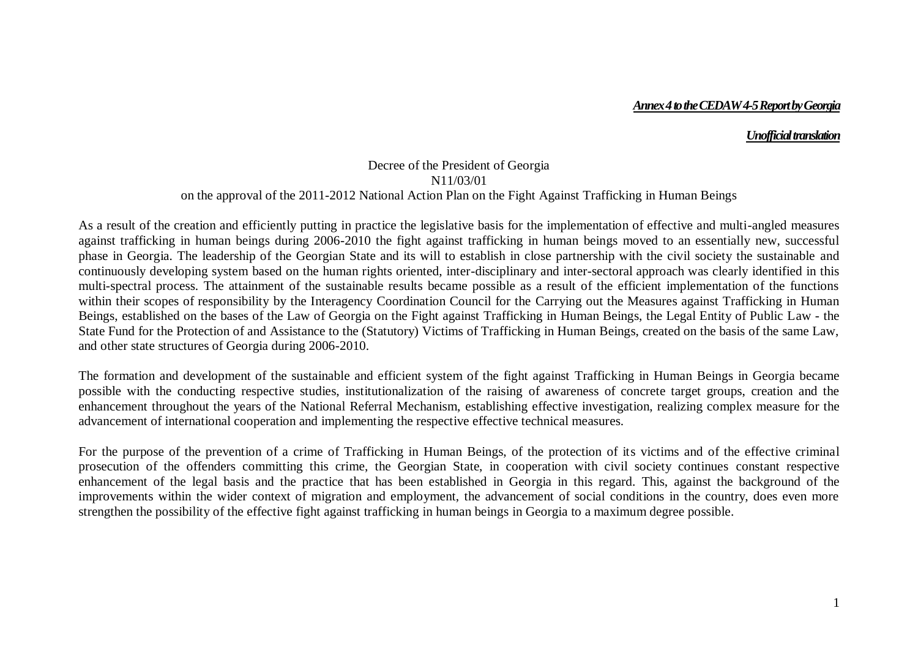## *Annex 4 to the CEDAW 4-5 Report by Georgia*

## *Unofficial translation*

## Decree of the President of Georgia N11/03/01 on the approval of the 2011-2012 National Action Plan on the Fight Against Trafficking in Human Beings

As a result of the creation and efficiently putting in practice the legislative basis for the implementation of effective and multi-angled measures against trafficking in human beings during 2006-2010 the fight against trafficking in human beings moved to an essentially new, successful phase in Georgia. The leadership of the Georgian State and its will to establish in close partnership with the civil society the sustainable and continuously developing system based on the human rights oriented, inter-disciplinary and inter-sectoral approach was clearly identified in this multi-spectral process. The attainment of the sustainable results became possible as a result of the efficient implementation of the functions within their scopes of responsibility by the Interagency Coordination Council for the Carrying out the Measures against Trafficking in Human Beings, established on the bases of the Law of Georgia on the Fight against Trafficking in Human Beings, the Legal Entity of Public Law - the State Fund for the Protection of and Assistance to the (Statutory) Victims of Trafficking in Human Beings, created on the basis of the same Law, and other state structures of Georgia during 2006-2010.

The formation and development of the sustainable and efficient system of the fight against Trafficking in Human Beings in Georgia became possible with the conducting respective studies, institutionalization of the raising of awareness of concrete target groups, creation and the enhancement throughout the years of the National Referral Mechanism, establishing effective investigation, realizing complex measure for the advancement of international cooperation and implementing the respective effective technical measures.

For the purpose of the prevention of a crime of Trafficking in Human Beings, of the protection of its victims and of the effective criminal prosecution of the offenders committing this crime, the Georgian State, in cooperation with civil society continues constant respective enhancement of the legal basis and the practice that has been established in Georgia in this regard. This, against the background of the improvements within the wider context of migration and employment, the advancement of social conditions in the country, does even more strengthen the possibility of the effective fight against trafficking in human beings in Georgia to a maximum degree possible.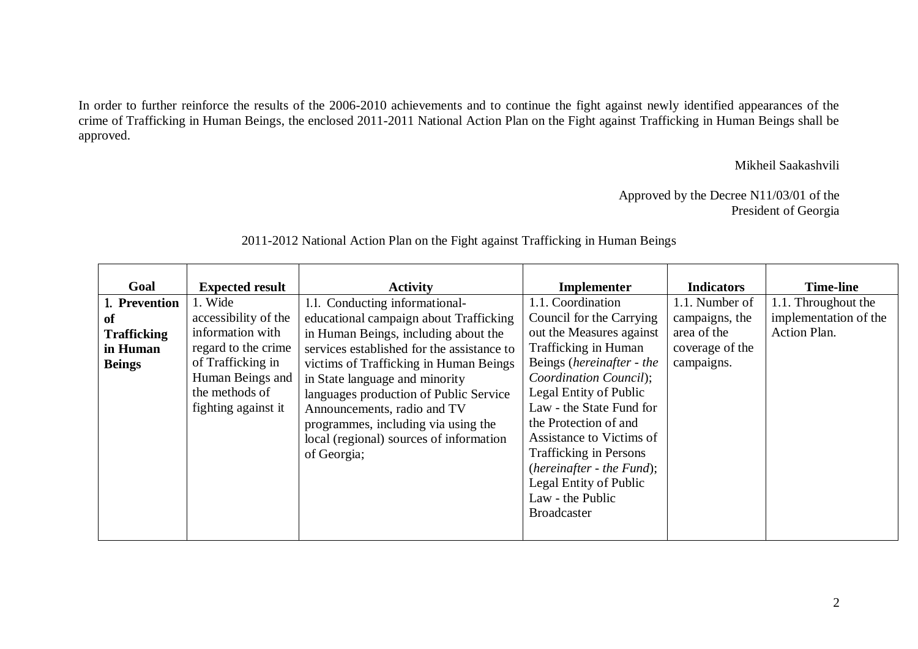In order to further reinforce the results of the 2006-2010 achievements and to continue the fight against newly identified appearances of the crime of Trafficking in Human Beings, the enclosed 2011-2011 National Action Plan on the Fight against Trafficking in Human Beings shall be approved.

Mikheil Saakashvili

Approved by the Decree N11/03/01 of the President of Georgia

| Goal               | <b>Expected result</b> | <b>Activity</b>                            | Implementer                   | <b>Indicators</b> | <b>Time-line</b>      |
|--------------------|------------------------|--------------------------------------------|-------------------------------|-------------------|-----------------------|
| 1. Prevention      | 1. Wide                | 1.1. Conducting informational-             | 1.1. Coordination             | 1.1. Number of    | 1.1. Throughout the   |
| <sub>of</sub>      | accessibility of the   | educational campaign about Trafficking     | Council for the Carrying      | campaigns, the    | implementation of the |
| <b>Trafficking</b> | information with       | in Human Beings, including about the       | out the Measures against      | area of the       | <b>Action Plan.</b>   |
| in Human           | regard to the crime    | services established for the assistance to | Trafficking in Human          | coverage of the   |                       |
| <b>Beings</b>      | of Trafficking in      | victims of Trafficking in Human Beings     | Beings (hereinafter - the     | campaigns.        |                       |
|                    | Human Beings and       | in State language and minority             | Coordination Council);        |                   |                       |
|                    | the methods of         | languages production of Public Service     | Legal Entity of Public        |                   |                       |
|                    | fighting against it    | Announcements, radio and TV                | Law - the State Fund for      |                   |                       |
|                    |                        | programmes, including via using the        | the Protection of and         |                   |                       |
|                    |                        | local (regional) sources of information    | Assistance to Victims of      |                   |                       |
|                    |                        | of Georgia;                                | <b>Trafficking in Persons</b> |                   |                       |
|                    |                        |                                            | (hereinafter - the Fund);     |                   |                       |
|                    |                        |                                            | <b>Legal Entity of Public</b> |                   |                       |
|                    |                        |                                            | Law - the Public              |                   |                       |
|                    |                        |                                            | <b>Broadcaster</b>            |                   |                       |
|                    |                        |                                            |                               |                   |                       |

2011-2012 National Action Plan on the Fight against Trafficking in Human Beings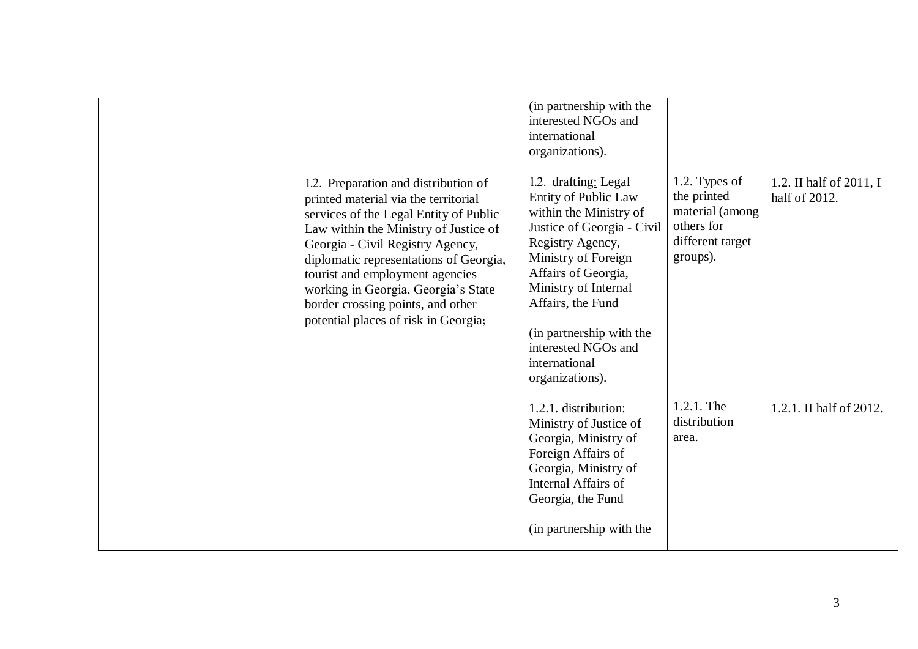|  | 1.2. Preparation and distribution of                                                                                                                                                                                                                                                                                                                         | (in partnership with the<br>interested NGOs and<br>international<br>organizations).<br>1.2. drafting: Legal                                                                                                                                                                               | 1.2. Types of                                                                | 1.2. II half of 2011, I |
|--|--------------------------------------------------------------------------------------------------------------------------------------------------------------------------------------------------------------------------------------------------------------------------------------------------------------------------------------------------------------|-------------------------------------------------------------------------------------------------------------------------------------------------------------------------------------------------------------------------------------------------------------------------------------------|------------------------------------------------------------------------------|-------------------------|
|  | printed material via the territorial<br>services of the Legal Entity of Public<br>Law within the Ministry of Justice of<br>Georgia - Civil Registry Agency,<br>diplomatic representations of Georgia,<br>tourist and employment agencies<br>working in Georgia, Georgia's State<br>border crossing points, and other<br>potential places of risk in Georgia; | <b>Entity of Public Law</b><br>within the Ministry of<br>Justice of Georgia - Civil<br>Registry Agency,<br>Ministry of Foreign<br>Affairs of Georgia,<br>Ministry of Internal<br>Affairs, the Fund<br>(in partnership with the<br>interested NGOs and<br>international<br>organizations). | the printed<br>material (among<br>others for<br>different target<br>groups). | half of 2012.           |
|  |                                                                                                                                                                                                                                                                                                                                                              | 1.2.1. distribution:<br>Ministry of Justice of<br>Georgia, Ministry of<br>Foreign Affairs of<br>Georgia, Ministry of<br>Internal Affairs of<br>Georgia, the Fund<br>(in partnership with the                                                                                              | 1.2.1. The<br>distribution<br>area.                                          | 1.2.1. II half of 2012. |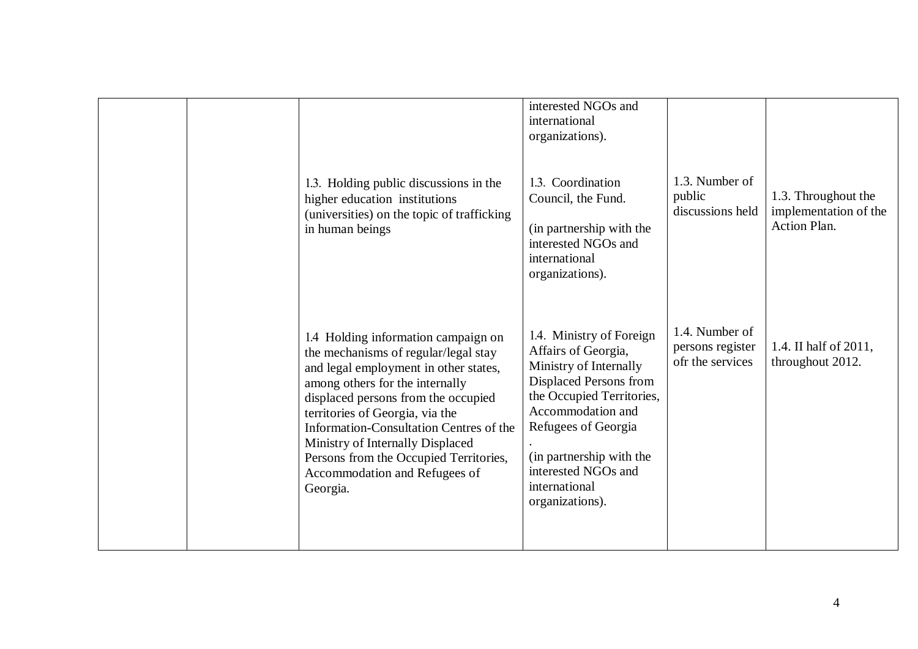|  | 1.3. Holding public discussions in the<br>higher education institutions                                                                                                                                                                                                                                                                                                                                 | interested NGOs and<br>international<br>organizations).<br>1.3. Coordination<br>Council, the Fund.                                                                                                                                                                  | 1.3. Number of<br>public                               | 1.3. Throughout the                       |
|--|---------------------------------------------------------------------------------------------------------------------------------------------------------------------------------------------------------------------------------------------------------------------------------------------------------------------------------------------------------------------------------------------------------|---------------------------------------------------------------------------------------------------------------------------------------------------------------------------------------------------------------------------------------------------------------------|--------------------------------------------------------|-------------------------------------------|
|  | (universities) on the topic of trafficking<br>in human beings                                                                                                                                                                                                                                                                                                                                           | (in partnership with the<br>interested NGOs and<br>international<br>organizations).                                                                                                                                                                                 | discussions held                                       | implementation of the<br>Action Plan.     |
|  | 1.4 Holding information campaign on<br>the mechanisms of regular/legal stay<br>and legal employment in other states,<br>among others for the internally<br>displaced persons from the occupied<br>territories of Georgia, via the<br>Information-Consultation Centres of the<br>Ministry of Internally Displaced<br>Persons from the Occupied Territories,<br>Accommodation and Refugees of<br>Georgia. | 1.4. Ministry of Foreign<br>Affairs of Georgia,<br>Ministry of Internally<br>Displaced Persons from<br>the Occupied Territories,<br>Accommodation and<br>Refugees of Georgia<br>(in partnership with the<br>interested NGOs and<br>international<br>organizations). | 1.4. Number of<br>persons register<br>ofr the services | 1.4. II half of 2011,<br>throughout 2012. |
|  |                                                                                                                                                                                                                                                                                                                                                                                                         |                                                                                                                                                                                                                                                                     |                                                        |                                           |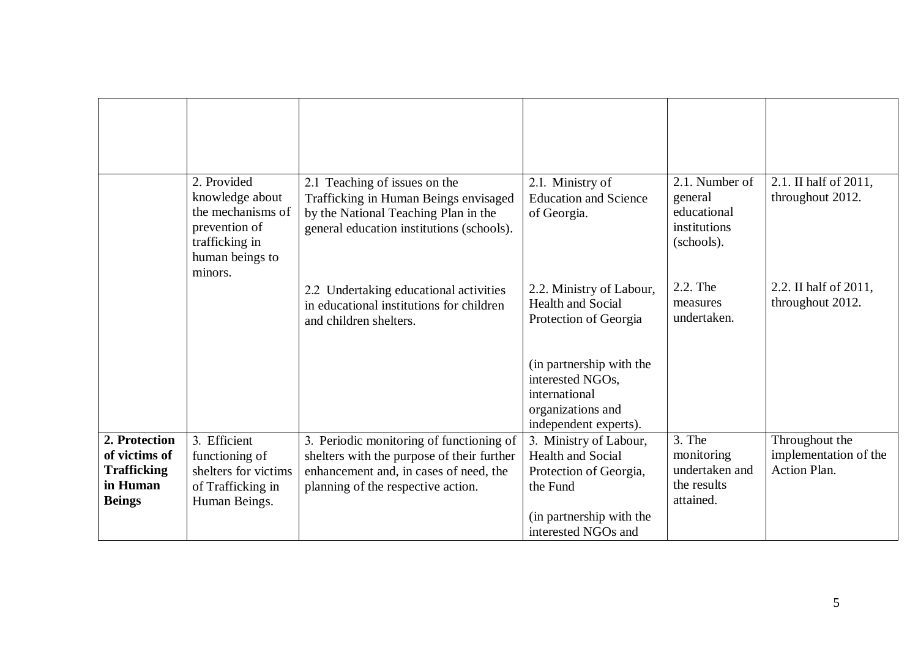|                                                                                   | 2. Provided<br>knowledge about<br>the mechanisms of<br>prevention of<br>trafficking in<br>human beings to<br>minors. | 2.1 Teaching of issues on the<br>Trafficking in Human Beings envisaged<br>by the National Teaching Plan in the<br>general education institutions (schools).            | 2.1. Ministry of<br><b>Education and Science</b><br>of Georgia.                                             | 2.1. Number of<br>general<br>educational<br>institutions<br>(schools). | 2.1. II half of 2011,<br>throughout 2012.                      |
|-----------------------------------------------------------------------------------|----------------------------------------------------------------------------------------------------------------------|------------------------------------------------------------------------------------------------------------------------------------------------------------------------|-------------------------------------------------------------------------------------------------------------|------------------------------------------------------------------------|----------------------------------------------------------------|
|                                                                                   |                                                                                                                      | 2.2 Undertaking educational activities<br>in educational institutions for children<br>and children shelters.                                                           | 2.2. Ministry of Labour,<br><b>Health and Social</b><br>Protection of Georgia                               | 2.2. The<br>measures<br>undertaken.                                    | 2.2. II half of 2011,<br>throughout 2012.                      |
|                                                                                   |                                                                                                                      |                                                                                                                                                                        | (in partnership with the<br>interested NGOs,<br>international<br>organizations and<br>independent experts). |                                                                        |                                                                |
| 2. Protection<br>of victims of<br><b>Trafficking</b><br>in Human<br><b>Beings</b> | 3. Efficient<br>functioning of<br>shelters for victims<br>of Trafficking in<br>Human Beings.                         | 3. Periodic monitoring of functioning of<br>shelters with the purpose of their further<br>enhancement and, in cases of need, the<br>planning of the respective action. | 3. Ministry of Labour,<br><b>Health and Social</b><br>Protection of Georgia,<br>the Fund                    | 3. The<br>monitoring<br>undertaken and<br>the results<br>attained.     | Throughout the<br>implementation of the<br><b>Action Plan.</b> |
|                                                                                   |                                                                                                                      |                                                                                                                                                                        | (in partnership with the<br>interested NGOs and                                                             |                                                                        |                                                                |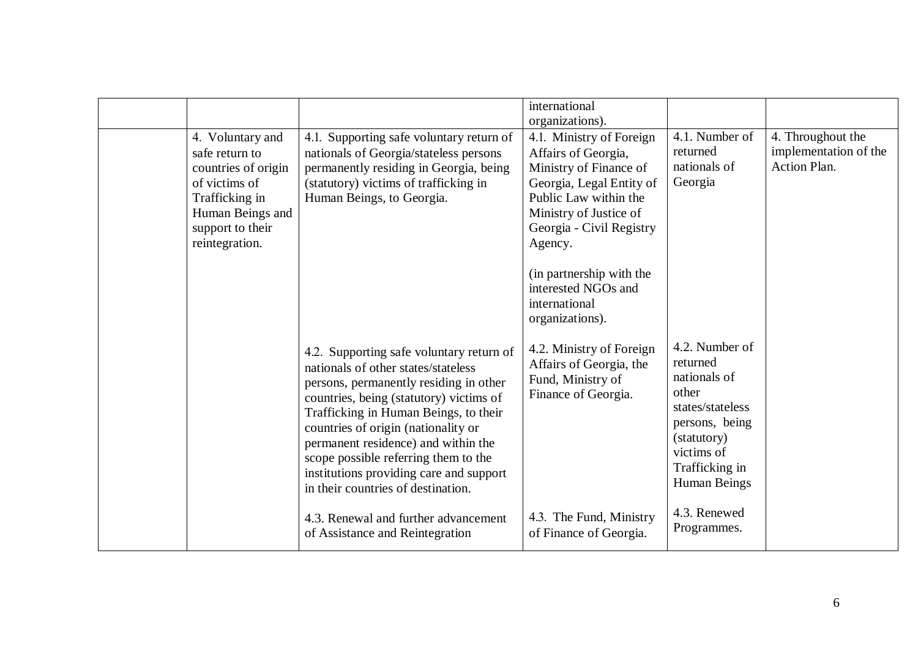|                                                                                                                                                        |                                                                                                                                                                                                                                                                                                                                                                                                                                                                                                 | international<br>organizations).                                                                                                                                                                                                                                                       |                                                                                                                                                                                                |                                                            |
|--------------------------------------------------------------------------------------------------------------------------------------------------------|-------------------------------------------------------------------------------------------------------------------------------------------------------------------------------------------------------------------------------------------------------------------------------------------------------------------------------------------------------------------------------------------------------------------------------------------------------------------------------------------------|----------------------------------------------------------------------------------------------------------------------------------------------------------------------------------------------------------------------------------------------------------------------------------------|------------------------------------------------------------------------------------------------------------------------------------------------------------------------------------------------|------------------------------------------------------------|
| 4. Voluntary and<br>safe return to<br>countries of origin<br>of victims of<br>Trafficking in<br>Human Beings and<br>support to their<br>reintegration. | 4.1. Supporting safe voluntary return of<br>nationals of Georgia/stateless persons<br>permanently residing in Georgia, being<br>(statutory) victims of trafficking in<br>Human Beings, to Georgia.                                                                                                                                                                                                                                                                                              | 4.1. Ministry of Foreign<br>Affairs of Georgia,<br>Ministry of Finance of<br>Georgia, Legal Entity of<br>Public Law within the<br>Ministry of Justice of<br>Georgia - Civil Registry<br>Agency.<br>(in partnership with the<br>interested NGOs and<br>international<br>organizations). | 4.1. Number of<br>returned<br>nationals of<br>Georgia                                                                                                                                          | 4. Throughout the<br>implementation of the<br>Action Plan. |
|                                                                                                                                                        | 4.2. Supporting safe voluntary return of<br>nationals of other states/stateless<br>persons, permanently residing in other<br>countries, being (statutory) victims of<br>Trafficking in Human Beings, to their<br>countries of origin (nationality or<br>permanent residence) and within the<br>scope possible referring them to the<br>institutions providing care and support<br>in their countries of destination.<br>4.3. Renewal and further advancement<br>of Assistance and Reintegration | 4.2. Ministry of Foreign<br>Affairs of Georgia, the<br>Fund, Ministry of<br>Finance of Georgia.<br>4.3. The Fund, Ministry<br>of Finance of Georgia.                                                                                                                                   | 4.2. Number of<br>returned<br>nationals of<br>other<br>states/stateless<br>persons, being<br>(statutory)<br>victims of<br>Trafficking in<br><b>Human Beings</b><br>4.3. Renewed<br>Programmes. |                                                            |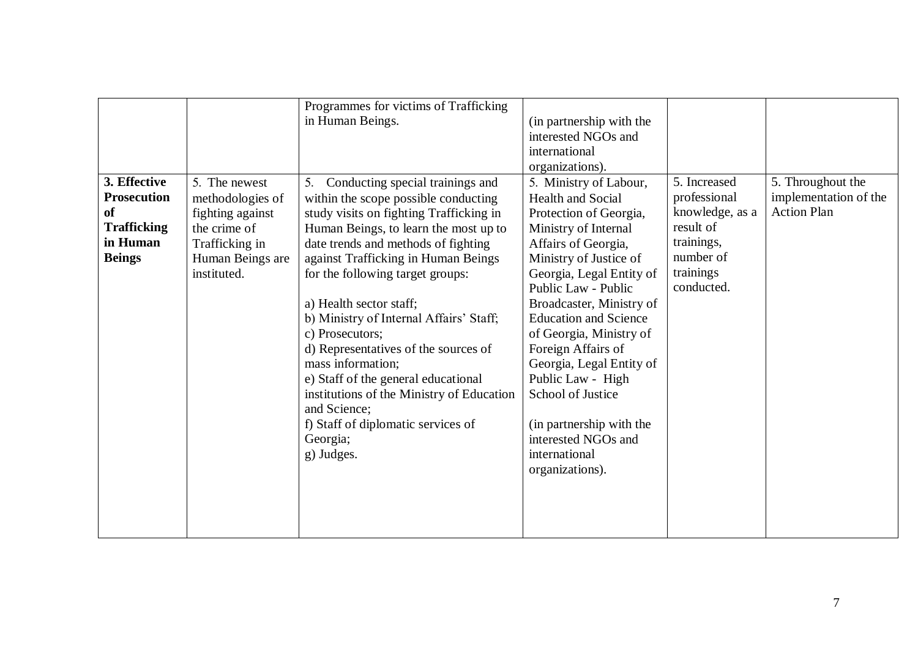|                    |                  | Programmes for victims of Trafficking     |                              |                 |                       |
|--------------------|------------------|-------------------------------------------|------------------------------|-----------------|-----------------------|
|                    |                  | in Human Beings.                          | (in partnership with the     |                 |                       |
|                    |                  |                                           | interested NGOs and          |                 |                       |
|                    |                  |                                           | international                |                 |                       |
|                    |                  |                                           | organizations).              |                 |                       |
| 3. Effective       | 5. The newest    | 5. Conducting special trainings and       | 5. Ministry of Labour,       | 5. Increased    | 5. Throughout the     |
| <b>Prosecution</b> | methodologies of | within the scope possible conducting      | Health and Social            | professional    | implementation of the |
| <b>of</b>          | fighting against | study visits on fighting Trafficking in   | Protection of Georgia,       | knowledge, as a | <b>Action Plan</b>    |
| <b>Trafficking</b> | the crime of     | Human Beings, to learn the most up to     | Ministry of Internal         | result of       |                       |
| in Human           | Trafficking in   | date trends and methods of fighting       | Affairs of Georgia,          | trainings,      |                       |
| <b>Beings</b>      | Human Beings are | against Trafficking in Human Beings       | Ministry of Justice of       | number of       |                       |
|                    | instituted.      | for the following target groups:          | Georgia, Legal Entity of     | trainings       |                       |
|                    |                  |                                           | Public Law - Public          | conducted.      |                       |
|                    |                  | a) Health sector staff;                   | Broadcaster, Ministry of     |                 |                       |
|                    |                  | b) Ministry of Internal Affairs' Staff;   | <b>Education and Science</b> |                 |                       |
|                    |                  | c) Prosecutors;                           | of Georgia, Ministry of      |                 |                       |
|                    |                  | d) Representatives of the sources of      | Foreign Affairs of           |                 |                       |
|                    |                  | mass information;                         | Georgia, Legal Entity of     |                 |                       |
|                    |                  | e) Staff of the general educational       | Public Law - High            |                 |                       |
|                    |                  | institutions of the Ministry of Education | School of Justice            |                 |                       |
|                    |                  | and Science;                              |                              |                 |                       |
|                    |                  | f) Staff of diplomatic services of        | (in partnership with the     |                 |                       |
|                    |                  | Georgia;                                  | interested NGOs and          |                 |                       |
|                    |                  | g) Judges.                                | international                |                 |                       |
|                    |                  |                                           |                              |                 |                       |
|                    |                  |                                           | organizations).              |                 |                       |
|                    |                  |                                           |                              |                 |                       |
|                    |                  |                                           |                              |                 |                       |
|                    |                  |                                           |                              |                 |                       |
|                    |                  |                                           |                              |                 |                       |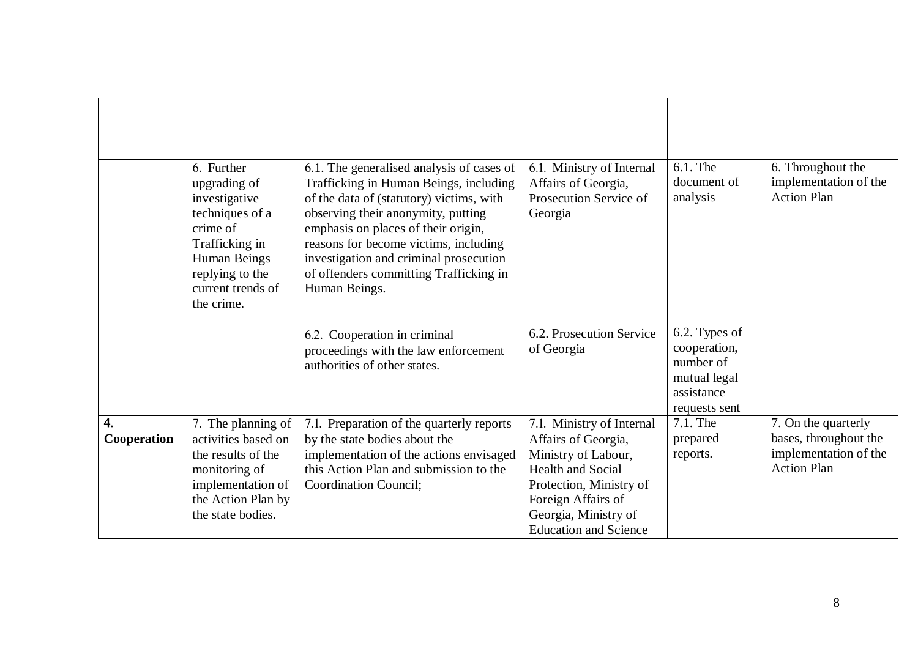|                   | 6. Further<br>upgrading of<br>investigative<br>techniques of a<br>crime of<br>Trafficking in<br>Human Beings<br>replying to the<br>current trends of<br>the crime. | 6.1. The generalised analysis of cases of<br>Trafficking in Human Beings, including<br>of the data of (statutory) victims, with<br>observing their anonymity, putting<br>emphasis on places of their origin,<br>reasons for become victims, including<br>investigation and criminal prosecution<br>of offenders committing Trafficking in<br>Human Beings. | 6.1. Ministry of Internal<br>Affairs of Georgia,<br>Prosecution Service of<br>Georgia                                                                                                                        | $6.1$ . The<br>document of<br>analysis                                                    | 6. Throughout the<br>implementation of the<br><b>Action Plan</b>                            |
|-------------------|--------------------------------------------------------------------------------------------------------------------------------------------------------------------|------------------------------------------------------------------------------------------------------------------------------------------------------------------------------------------------------------------------------------------------------------------------------------------------------------------------------------------------------------|--------------------------------------------------------------------------------------------------------------------------------------------------------------------------------------------------------------|-------------------------------------------------------------------------------------------|---------------------------------------------------------------------------------------------|
|                   |                                                                                                                                                                    | 6.2. Cooperation in criminal<br>proceedings with the law enforcement<br>authorities of other states.                                                                                                                                                                                                                                                       | 6.2. Prosecution Service<br>of Georgia                                                                                                                                                                       | 6.2. Types of<br>cooperation,<br>number of<br>mutual legal<br>assistance<br>requests sent |                                                                                             |
| 4.<br>Cooperation | 7. The planning of<br>activities based on<br>the results of the<br>monitoring of<br>implementation of<br>the Action Plan by<br>the state bodies.                   | 7.1. Preparation of the quarterly reports<br>by the state bodies about the<br>implementation of the actions envisaged<br>this Action Plan and submission to the<br>Coordination Council;                                                                                                                                                                   | 7.1. Ministry of Internal<br>Affairs of Georgia,<br>Ministry of Labour,<br><b>Health and Social</b><br>Protection, Ministry of<br>Foreign Affairs of<br>Georgia, Ministry of<br><b>Education and Science</b> | 7.1. The<br>prepared<br>reports.                                                          | 7. On the quarterly<br>bases, throughout the<br>implementation of the<br><b>Action Plan</b> |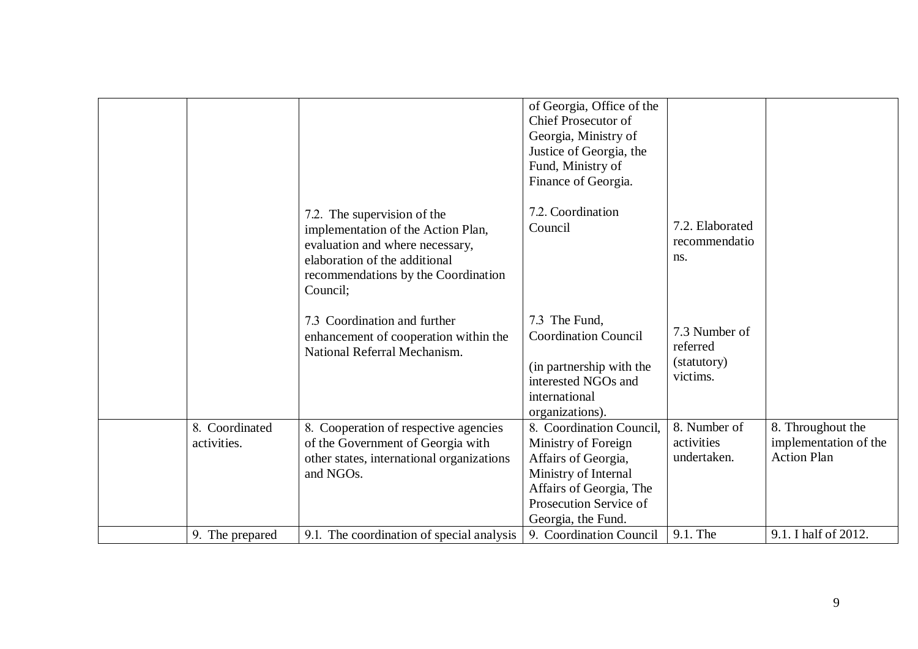|                               |                                                                                                                                                                                          | of Georgia, Office of the<br><b>Chief Prosecutor of</b><br>Georgia, Ministry of<br>Justice of Georgia, the<br>Fund, Ministry of<br>Finance of Georgia.                    |                                                      |                                                                  |
|-------------------------------|------------------------------------------------------------------------------------------------------------------------------------------------------------------------------------------|---------------------------------------------------------------------------------------------------------------------------------------------------------------------------|------------------------------------------------------|------------------------------------------------------------------|
|                               | 7.2. The supervision of the<br>implementation of the Action Plan,<br>evaluation and where necessary,<br>elaboration of the additional<br>recommendations by the Coordination<br>Council; | 7.2. Coordination<br>Council                                                                                                                                              | 7.2. Elaborated<br>recommendatio<br>ns.              |                                                                  |
|                               | 7.3 Coordination and further<br>enhancement of cooperation within the<br>National Referral Mechanism.                                                                                    | 7.3 The Fund.<br><b>Coordination Council</b><br>(in partnership with the<br>interested NGOs and<br>international<br>organizations).                                       | 7.3 Number of<br>referred<br>(statutory)<br>victims. |                                                                  |
| 8. Coordinated<br>activities. | 8. Cooperation of respective agencies<br>of the Government of Georgia with<br>other states, international organizations<br>and NGOs.                                                     | 8. Coordination Council,<br>Ministry of Foreign<br>Affairs of Georgia,<br>Ministry of Internal<br>Affairs of Georgia, The<br>Prosecution Service of<br>Georgia, the Fund. | 8. Number of<br>activities<br>undertaken.            | 8. Throughout the<br>implementation of the<br><b>Action Plan</b> |
| 9. The prepared               | 9.1. The coordination of special analysis                                                                                                                                                | 9. Coordination Council                                                                                                                                                   | 9.1. The                                             | 9.1. I half of 2012.                                             |